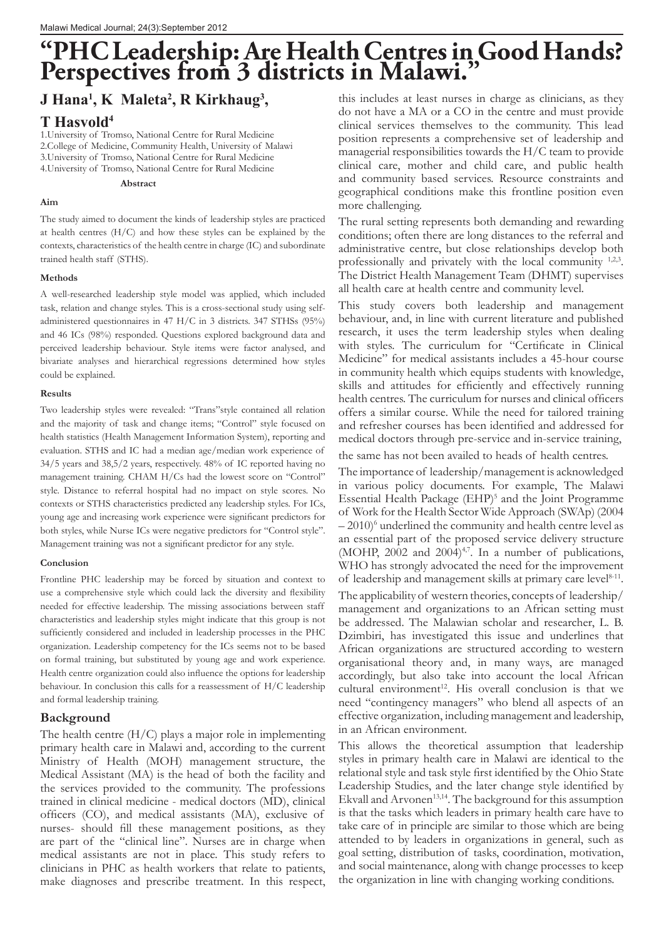# **"PHC Leadership: Are Health Centres in Good Hands? Perspectives from 3 districts in Malawi."**

# **J Hana1 , K Maleta2 , R Kirkhaug3 ,**

# **T Hasvold4**

1.University of Tromso, National Centre for Rural Medicine 2.College of Medicine, Community Health, University of Malawi 3.University of Tromso, National Centre for Rural Medicine 4.University of Tromso, National Centre for Rural Medicine

 **Abstract**

#### **Aim**

The study aimed to document the kinds of leadership styles are practiced at health centres (H/C) and how these styles can be explained by the contexts, characteristics of the health centre in charge (IC) and subordinate trained health staff (STHS).

#### **Methods**

A well-researched leadership style model was applied, which included task, relation and change styles. This is a cross-sectional study using selfadministered questionnaires in 47 H/C in 3 districts. 347 STHSs (95%) and 46 ICs (98%) responded. Questions explored background data and perceived leadership behaviour. Style items were factor analysed, and bivariate analyses and hierarchical regressions determined how styles could be explained.

#### **Results**

Two leadership styles were revealed: "Trans"style contained all relation and the majority of task and change items; "Control" style focused on health statistics (Health Management Information System), reporting and evaluation. STHS and IC had a median age/median work experience of 34/5 years and 38,5/2 years, respectively. 48% of IC reported having no management training. CHAM H/Cs had the lowest score on "Control" style. Distance to referral hospital had no impact on style scores. No contexts or STHS characteristics predicted any leadership styles. For ICs, young age and increasing work experience were significant predictors for both styles, while Nurse ICs were negative predictors for "Control style". Management training was not a significant predictor for any style.

#### **Conclusion**

Frontline PHC leadership may be forced by situation and context to use a comprehensive style which could lack the diversity and flexibility needed for effective leadership. The missing associations between staff characteristics and leadership styles might indicate that this group is not sufficiently considered and included in leadership processes in the PHC organization. Leadership competency for the ICs seems not to be based on formal training, but substituted by young age and work experience. Health centre organization could also influence the options for leadership behaviour. In conclusion this calls for a reassessment of H/C leadership and formal leadership training.

### **Background**

The health centre  $(H/C)$  plays a major role in implementing primary health care in Malawi and, according to the current Ministry of Health (MOH) management structure, the Medical Assistant (MA) is the head of both the facility and the services provided to the community. The professions trained in clinical medicine - medical doctors (MD), clinical officers (CO), and medical assistants (MA), exclusive of nurses- should fill these management positions, as they are part of the "clinical line". Nurses are in charge when medical assistants are not in place. This study refers to clinicians in PHC as health workers that relate to patients, make diagnoses and prescribe treatment. In this respect,

this includes at least nurses in charge as clinicians, as they do not have a MA or a CO in the centre and must provide clinical services themselves to the community. This lead position represents a comprehensive set of leadership and managerial responsibilities towards the H/C team to provide clinical care, mother and child care, and public health and community based services. Resource constraints and geographical conditions make this frontline position even more challenging.

The rural setting represents both demanding and rewarding conditions; often there are long distances to the referral and administrative centre, but close relationships develop both professionally and privately with the local community <sup>1,2,3</sup>. The District Health Management Team (DHMT) supervises all health care at health centre and community level.

This study covers both leadership and management behaviour, and, in line with current literature and published research, it uses the term leadership styles when dealing with styles. The curriculum for "Certificate in Clinical Medicine" for medical assistants includes a 45-hour course in community health which equips students with knowledge, skills and attitudes for efficiently and effectively running health centres. The curriculum for nurses and clinical officers offers a similar course. While the need for tailored training and refresher courses has been identified and addressed for medical doctors through pre-service and in-service training,

the same has not been availed to heads of health centres.

The importance of leadership/management is acknowledged in various policy documents. For example, The Malawi Essential Health Package (EHP)<sup>5</sup> and the Joint Programme of Work for the Health Sector Wide Approach (SWAp) (2004  $-2010$ <sup>6</sup> underlined the community and health centre level as an essential part of the proposed service delivery structure (MOHP, 2002 and 2004) $4.7$ . In a number of publications, WHO has strongly advocated the need for the improvement of leadership and management skills at primary care level<sup>8-11</sup>. The applicability of western theories, concepts of leadership/ management and organizations to an African setting must be addressed. The Malawian scholar and researcher, L. B. Dzimbiri, has investigated this issue and underlines that African organizations are structured according to western organisational theory and, in many ways, are managed accordingly, but also take into account the local African cultural environment $12$ . His overall conclusion is that we need "contingency managers" who blend all aspects of an effective organization, including management and leadership, in an African environment.

This allows the theoretical assumption that leadership styles in primary health care in Malawi are identical to the relational style and task style first identified by the Ohio State Leadership Studies, and the later change style identified by Ekvall and Arvonen<sup>13,14</sup>. The background for this assumption is that the tasks which leaders in primary health care have to take care of in principle are similar to those which are being attended to by leaders in organizations in general, such as goal setting, distribution of tasks, coordination, motivation, and social maintenance, along with change processes to keep the organization in line with changing working conditions.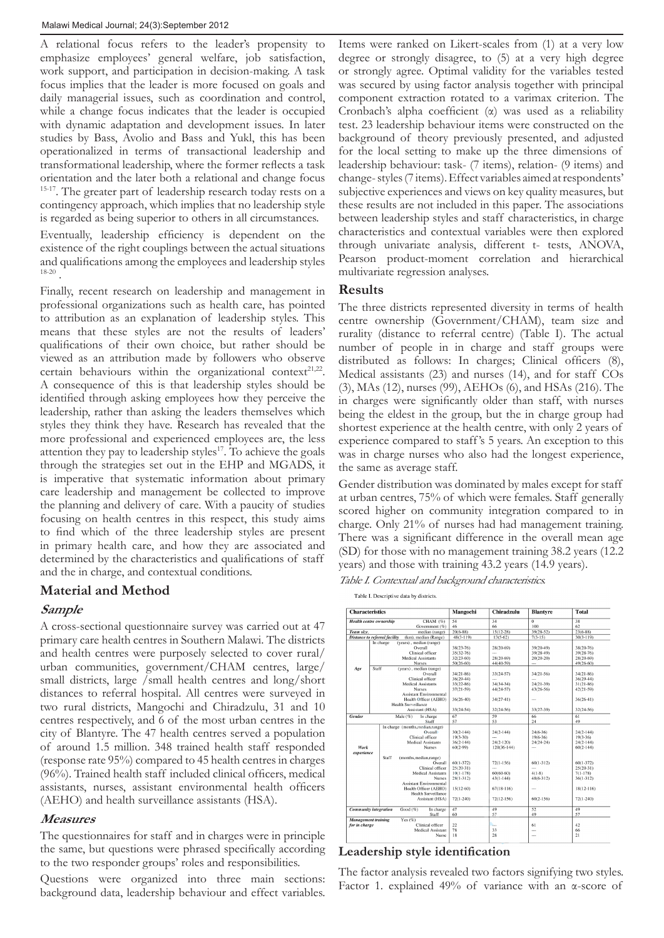A relational focus refers to the leader's propensity to emphasize employees' general welfare, job satisfaction, work support, and participation in decision-making. A task focus implies that the leader is more focused on goals and daily managerial issues, such as coordination and control, while a change focus indicates that the leader is occupied with dynamic adaptation and development issues. In later studies by Bass, Avolio and Bass and Yukl, this has been operationalized in terms of transactional leadership and transformational leadership, where the former reflects a task orientation and the later both a relational and change focus <sup>15-17</sup>. The greater part of leadership research today rests on a contingency approach, which implies that no leadership style is regarded as being superior to others in all circumstances.

Eventually, leadership efficiency is dependent on the existence of the right couplings between the actual situations and qualifications among the employees and leadership styles 18-20 .

Finally, recent research on leadership and management in professional organizations such as health care, has pointed to attribution as an explanation of leadership styles. This means that these styles are not the results of leaders' qualifications of their own choice, but rather should be viewed as an attribution made by followers who observe certain behaviours within the organizational context<sup>21,22</sup>. A consequence of this is that leadership styles should be identified through asking employees how they perceive the leadership, rather than asking the leaders themselves which styles they think they have. Research has revealed that the more professional and experienced employees are, the less attention they pay to leadership styles $17$ . To achieve the goals through the strategies set out in the EHP and MGADS, it is imperative that systematic information about primary care leadership and management be collected to improve the planning and delivery of care. With a paucity of studies focusing on health centres in this respect, this study aims to find which of the three leadership styles are present in primary health care, and how they are associated and determined by the characteristics and qualifications of staff and the in charge, and contextual conditions.

# **Material and Method**

# **Sample**

A cross-sectional questionnaire survey was carried out at 47 primary care health centres in Southern Malawi. The districts and health centres were purposely selected to cover rural/ urban communities, government/CHAM centres, large/ small districts, large /small health centres and long/short distances to referral hospital. All centres were surveyed in two rural districts, Mangochi and Chiradzulu, 31 and 10 centres respectively, and 6 of the most urban centres in the city of Blantyre. The 47 health centres served a population of around 1.5 million. 348 trained health staff responded (response rate 95%) compared to 45 health centres in charges (96%). Trained health staff included clinical officers, medical assistants, nurses, assistant environmental health officers (AEHO) and health surveillance assistants (HSA).

# **Measures**

The questionnaires for staff and in charges were in principle the same, but questions were phrased specifically according to the two responder groups' roles and responsibilities.

Questions were organized into three main sections: background data, leadership behaviour and effect variables.

Items were ranked on Likert-scales from (1) at a very low degree or strongly disagree, to (5) at a very high degree or strongly agree. Optimal validity for the variables tested was secured by using factor analysis together with principal component extraction rotated to a varimax criterion. The Cronbach's alpha coefficient (α) was used as a reliability test. 23 leadership behaviour items were constructed on the background of theory previously presented, and adjusted for the local setting to make up the three dimensions of leadership behaviour: task- (7 items), relation- (9 items) and change- styles (7 items). Effect variables aimed at respondents' subjective experiences and views on key quality measures, but these results are not included in this paper. The associations between leadership styles and staff characteristics, in charge characteristics and contextual variables were then explored through univariate analysis, different t- tests, ANOVA, Pearson product-moment correlation and hierarchical multivariate regression analyses.

# **Results**

The three districts represented diversity in terms of health centre ownership (Government/CHAM), team size and rurality (distance to referral centre) (Table I). The actual number of people in in charge and staff groups were distributed as follows: In charges; Clinical officers (8), Medical assistants (23) and nurses (14), and for staff COs (3), MAs (12), nurses (99), AEHOs (6), and HSAs (216). The in charges were significantly older than staff, with nurses being the eldest in the group, but the in charge group had shortest experience at the health centre, with only 2 years of experience compared to staff 's 5 years. An exception to this was in charge nurses who also had the longest experience, the same as average staff.

Gender distribution was dominated by males except for staff at urban centres, 75% of which were females. Staff generally scored higher on community integration compared to in charge. Only 21% of nurses had had management training. There was a significant difference in the overall mean age (SD) for those with no management training 38.2 years (12.2 years) and those with training 43.2 years (14.9 years).

Table I. Contextual and background characteristics.

Table I. Descriptive data by districts.

| <b>Characteristics</b>                               |                                                              | Mangochi      | Chiradzulu               | <b>Blantyre</b> | <b>Total</b>    |  |
|------------------------------------------------------|--------------------------------------------------------------|---------------|--------------------------|-----------------|-----------------|--|
|                                                      | CHAM (%)<br><b>Health centre ownership</b>                   | 54            | 34                       | $\overline{0}$  | $\overline{38}$ |  |
|                                                      | Government (%)                                               | 46            | 66                       | 100             | 62              |  |
| Team size.                                           | median (range)                                               | $20(6-88)$    | $15(12-28)$              | $39(28-52)$     | $23(6-88)$      |  |
|                                                      | <b>Distance to referral facility</b><br>(km), median (Range) | $48(3 - 119)$ | 13(5.62)                 | $7(3-15)$       | $30(3-119)$     |  |
|                                                      | (years), median (range)<br>In charge                         |               |                          |                 |                 |  |
|                                                      | Overall                                                      | 38(23-76)     | 28(20-69)                | 39(20-49)       | 38(20-76)       |  |
|                                                      | Clinical officer                                             | 35(32-76)     | $\sim$                   | 39(28-49)       | 39(28-76)       |  |
|                                                      | <b>Medical Assistants</b>                                    | $32(23-60)$   | $28(20-69)$              | 20(20-20)       | 28(20-69)       |  |
|                                                      | <b>Nurses</b>                                                | 50(26-60)     | 44(40-59)                | $\overline{a}$  | 49(26-60)       |  |
| Age                                                  | Staff<br>(vears), median (range)                             |               |                          |                 |                 |  |
|                                                      | Overall                                                      | $34(21-86)$   | $33(24-57)$              | $34(21-56)$     | 34(21-86)       |  |
|                                                      | Clinical officer                                             | $36(29-44)$   |                          |                 | $36(29-44)$     |  |
|                                                      | <b>Medical Assistants</b>                                    | 33(22-86)     | $34(34-34)$              | $24(21-39)$     | $31(21-86)$     |  |
|                                                      | <b>Nurses</b>                                                | $37(21-59)$   | $44(24-57)$              | 43(26-56)       | $42(21-59)$     |  |
|                                                      | <b>Assistant Environmental</b>                               |               |                          |                 |                 |  |
|                                                      | Health Officer (AEHO)                                        | $36(26-40)$   | $34(27-41)$              | $\cdots$        | $36(26-41)$     |  |
|                                                      | Health Surveillance                                          |               |                          |                 |                 |  |
|                                                      | Assistant (HSA)                                              | $33(24-54)$   | $32(24-56)$              | 33(27-39)       | $32(24-56)$     |  |
| Gender                                               | Male $(%)$<br>In charge                                      | 67            | 59                       | 66              | 61              |  |
|                                                      | Staff                                                        | 57            | 53                       | 24              | 49              |  |
|                                                      | In charge (months, median, range)                            |               |                          |                 |                 |  |
|                                                      | Overall                                                      | $30(2-144)$   | $24(2-144)$              | $24(6-36)$      | $24(2-144)$     |  |
|                                                      | Clinical officer                                             | $19(3-30)$    | $\overline{\phantom{a}}$ | $19(6-36)$      | $19(3-36)$      |  |
|                                                      | <b>Medical Assistants</b>                                    | $36(2 - 144)$ | $24(2 - 120)$            | $24(24-24)$     | $24(2-144)$     |  |
| Work                                                 | <b>Nurses</b>                                                | $60(2-99)$    | $120(36-144)$            |                 | $60(2-144)$     |  |
| experience                                           |                                                              |               |                          |                 |                 |  |
|                                                      | Staff<br>(months, median, range)                             |               |                          |                 |                 |  |
|                                                      | Overall                                                      | $60(1-372)$   | $72(1-156)$              | $60(1-312)$     | $60(1-372)$     |  |
|                                                      | Clinical officer                                             | $25(20-31)$   | $\overline{a}$           |                 | $25(20-31)$     |  |
|                                                      | <b>Medical Assistants</b>                                    | $10(1-178)$   | 60(60-60)                | $4(1-8)$        | $7(1-178)$      |  |
|                                                      | <b>Nurses</b>                                                | $28(1 - 312)$ | $43(1 - 144)$            | $48(6 - 312)$   | $36(1 - 312)$   |  |
|                                                      | <b>Assistant Environmental</b>                               |               |                          |                 |                 |  |
|                                                      | Health Officer (AEHO)                                        | $15(12-60)$   | $67(18-116)$             | $\cdots$        | 18(12-116)      |  |
|                                                      | <b>Health Surveillance</b>                                   |               |                          |                 |                 |  |
|                                                      |                                                              | $72(1 - 240)$ | $72(12-156)$             | $60(2-156)$     |                 |  |
|                                                      | Assistant (HSA)                                              |               |                          |                 | $72(1 - 240)$   |  |
| <b>Community</b> integration<br>Good(%)<br>In charge |                                                              | 47            | 49                       | 52              | 49              |  |
|                                                      | Staff                                                        | 60            | 57                       | 49              | 57              |  |
| <b>Management</b> training                           | Yes $(\%)$                                                   |               |                          |                 |                 |  |
| for in charge                                        | Clinical officer                                             | 22            | ъ.,                      | 61              | 42              |  |
|                                                      | Medical Assistant                                            | 78            | 33                       | $\cdots$        | 66              |  |
|                                                      | Nurse                                                        | 18            | 28                       | $\sim$          | 21              |  |

### **Leadership style identification**

The factor analysis revealed two factors signifying two styles. Factor 1. explained 49% of variance with an α-score of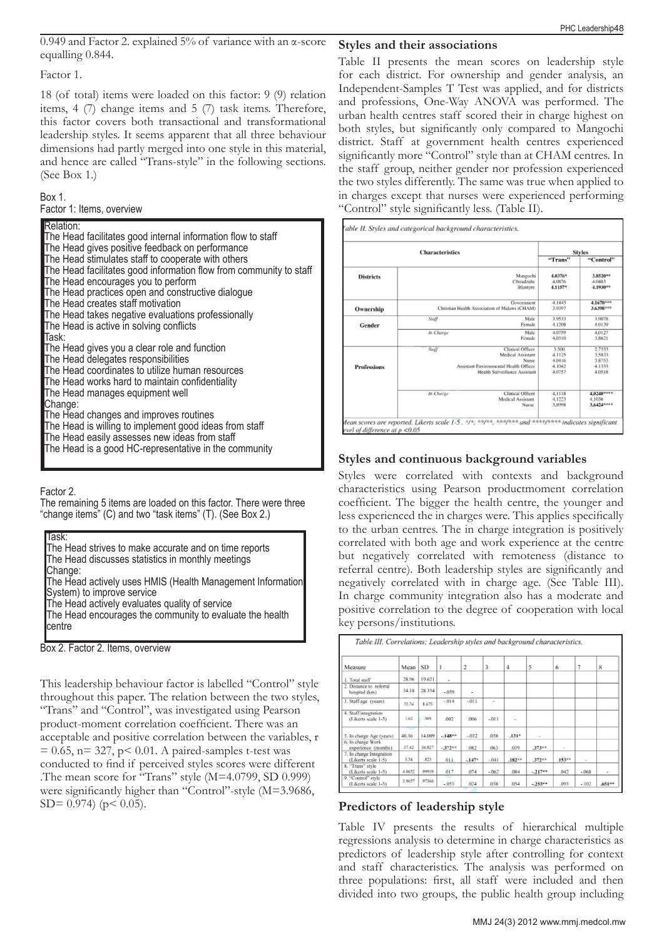0.949 and Factor 2. explained 5% of variance with an α-score equalling 0.844.

Factor 1.

18 (of total) items were loaded on this factor: 9 (9) relation items, 4 (7) change items and 5 (7) task items. Therefore, this factor covers both transactional and transformational leadership styles. It seems apparent that all three behaviour dimensions had partly merged into one style in this material, and hence are called "Trans-style" in the following sections. (See Box 1.)

### Box 1.

| Factor 1: Items, overview |  |  |  |  |
|---------------------------|--|--|--|--|
|---------------------------|--|--|--|--|

| Relation:                                                          |
|--------------------------------------------------------------------|
| The Head facilitates good internal information flow to staff       |
| The Head gives positive feedback on performance                    |
| The Head stimulates staff to cooperate with others                 |
| The Head facilitates good information flow from community to staff |
| The Head encourages you to perform                                 |
| The Head practices open and constructive dialogue                  |
| The Head creates staff motivation                                  |
| The Head takes negative evaluations professionally                 |
| The Head is active in solving conflicts                            |
| lTask:                                                             |
| The Head gives you a clear role and function                       |
| The Head delegates responsibilities                                |
| The Head coordinates to utilize human resources                    |
| The Head works hard to maintain confidentiality                    |
| The Head manages equipment well                                    |
| Change:                                                            |
| The Head changes and improves routines                             |
| The Head is willing to implement good ideas from staff             |
| The Head easily assesses new ideas from staff                      |
| The Head is a good HC-representative in the community              |

Factor 2.

The remaining 5 items are loaded on this factor. There were three "change items" (C) and two "task items" (T). (See Box 2.)

| Task:<br>The Head strives to make accurate and on time reports<br>The Head discusses statistics in monthly meetings  |
|----------------------------------------------------------------------------------------------------------------------|
| Change:<br>The Head actively uses HMIS (Health Management Information<br>System) to improve service                  |
| The Head actively evaluates quality of service<br>The Head encourages the community to evaluate the health<br>centre |
|                                                                                                                      |

Box 2. Factor 2. Items, overview

This leadership behaviour factor is labelled "Control" style throughout this paper. The relation between the two styles, "Trans" and "Control", was investigated using Pearson product-moment correlation coefficient. There was an acceptable and positive correlation between the variables, r  $= 0.65$ , n= 327, p< 0.01. A paired-samples t-test was conducted to find if perceived styles scores were different .The mean score for "Trans" style (M=4.0799, SD 0.999) were significantly higher than "Control"-style (M=3.9686,  $SD = 0.974$  (p < 0.05).

**Styles and their associations**

Table II presents the mean scores on leadership style for each district. For ownership and gender analysis, an Independent-Samples T Test was applied, and for districts and professions, One-Way ANOVA was performed. The urban health centres staff scored their in charge highest on both styles, but significantly only compared to Mangochi district. Staff at government health centres experienced significantly more "Control" style than at CHAM centres. In the staff group, neither gender nor profession experienced the two styles differently. The same was true when applied to in charges except that nurses were experienced performing "Control" style significantly less. (Table II).

|                    | <b>Styles</b>     |                                                                         |                              |                                                |
|--------------------|-------------------|-------------------------------------------------------------------------|------------------------------|------------------------------------------------|
|                    |                   |                                                                         | "Trans"                      | "Control"                                      |
| <b>Districts</b>   |                   | Manguchi<br>Chiradzulu<br>Blantyre                                      | 4.0376*<br>4.0876<br>4,1157* | 3.8520**<br>4.0483<br>4.1930**                 |
| Ownership          |                   | Government<br>Christian Health Association of Malawi (CHAM)             | 4.1443<br>3.9397             | 4.1670***<br>3.6398***                         |
| Gender             | Staff             | Male<br>Female                                                          | 3.9533<br>4.1208             | 3.9078<br>4.0139                               |
|                    | In Charge         | Male<br>Female                                                          | 4,0759<br>4,0310             | 4.0127<br>3.8621                               |
|                    | $S \omega \theta$ | Clinical Officer<br>Medical Assistant<br>Nurse                          | 3.500<br>4.1125<br>4.0416    | 2.7333<br>3,5833<br>3.8753                     |
| <b>Professions</b> |                   | Assistant Environmental Health Officer<br>Health Surveillance Assistant | 4.1042<br>4,0757             | 4.1333<br>4.0518                               |
|                    | In Charge         | Clinical Officer<br>Medical Assistant<br>Nurse                          | 4,1118<br>4.1223<br>3,8998   | 4,0248****<br>4.1036<br>3.6424 <sup>ARRA</sup> |

# **Styles and continuous background variables**

Styles were correlated with contexts and background characteristics using Pearson productmoment correlation coefficient. The bigger the health centre, the younger and less experienced the in charges were. This applies specifically to the urban centres. The in charge integration is positively correlated with both age and work experience at the centre but negatively correlated with remoteness (distance to referral centre). Both leadership styles are significantly and negatively correlated with in charge age. (See Table III). In charge community integration also has a moderate and positive correlation to the degree of cooperation with local key persons/institutions.

| Measure                                         | Mean   | SD.    |                             | 2              | 3                        | 4                 | 5                        | 6        | 7      | 8     |
|-------------------------------------------------|--------|--------|-----------------------------|----------------|--------------------------|-------------------|--------------------------|----------|--------|-------|
|                                                 |        |        |                             |                |                          |                   |                          |          |        |       |
| 1. Total staff                                  | 28.96  | 19.621 | ۰                           |                |                          |                   |                          |          |        |       |
| 2. Distance to referral<br>hospital (km)        | 34.18  | 28354  | $-0.59$                     | $\overline{a}$ |                          |                   |                          |          |        |       |
| 3. Staff age (years)                            | 35.74  | 8.675  | $-014$                      | $-011$         | $\overline{\phantom{a}}$ |                   |                          |          |        |       |
| 4. Staff integration<br>(Likerts scale 1-5)     | 3.62   | 909    | .002                        | .006           | $-011$                   | ٠                 |                          |          |        |       |
| 5. In change Age (years)                        | 40.16  | 14.009 | $-148^{\circ}$ <sup>6</sup> | $-032$         | .058                     | .131 <sup>o</sup> | $\overline{\phantom{a}}$ |          |        |       |
| 6. In charge Work<br>experience (months)        | 37.42  | 36.827 | $-372**$                    | 082            | 063                      | .039              | $.373**$                 | $\sim$   |        |       |
| 7. In charge Integration<br>(Likerts scale 1-5) | 3.54   | .823   | .011                        | $-147*$        | $-041$                   | $.182**$          | $.372**$                 | $.153**$ | $\sim$ |       |
| 8. "Trans" style<br>(Likerts scale 1-5)         | 4.0652 | ,99919 | 017                         | .074           | $-062$                   | .084              | $-217$                   | .042     | $-068$ | ۰     |
| 9. "Control" style<br>(Likerts scale 1-5)       | 3.9657 | .97366 | . .<br>$-053$               | .024           | .038                     | .054              | $-253**$                 | .093     | $-102$ | A61** |

# **Predictors of leadership style**

Table IV presents the results of hierarchical multiple regressions analysis to determine in charge characteristics as predictors of leadership style after controlling for context and staff characteristics. The analysis was performed on three populations: first, all staff were included and then divided into two groups, the public health group including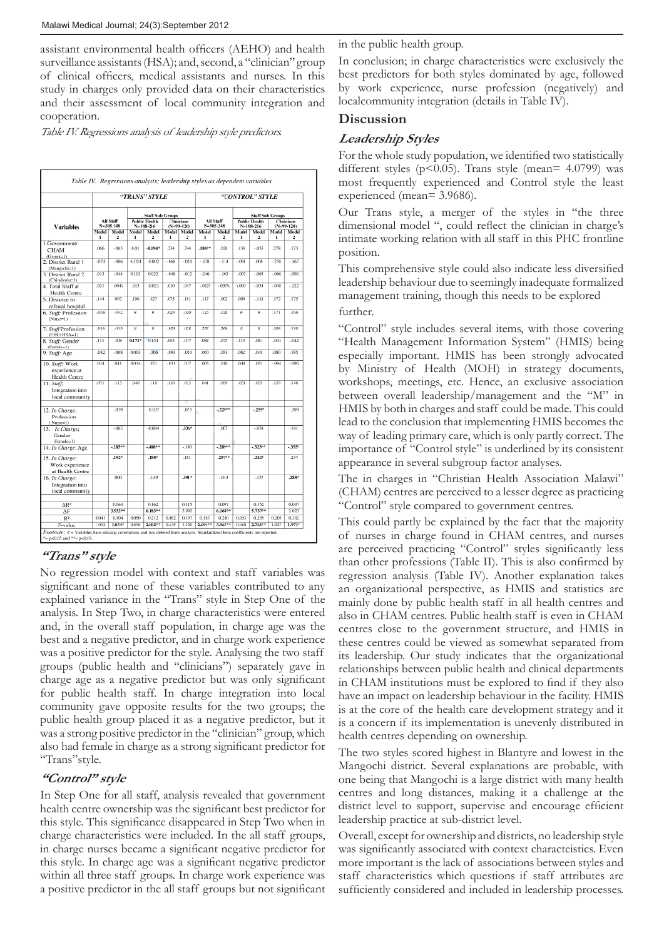assistant environmental health officers (AEHO) and health surveillance assistants (HSA); and, second, a "clinician" group of clinical officers, medical assistants and nurses. In this study in charges only provided data on their characteristics and their assessment of local community integration and cooperation.

Table IV. Regressions analysis of leadership style predictors.

|                                                          | "TRANS" STYLE          |             |                                                                                                             |                     |                  |                               | "CONTROL" STYLE |             |                                   |                         |                                                                  |                                  |  |
|----------------------------------------------------------|------------------------|-------------|-------------------------------------------------------------------------------------------------------------|---------------------|------------------|-------------------------------|-----------------|-------------|-----------------------------------|-------------------------|------------------------------------------------------------------|----------------------------------|--|
| <b>Variables</b>                                         | All Staff<br>N=305-348 |             | <b>Staff Sub Groups</b><br><b>Clinicians</b><br><b>Public Health</b><br>$N = 188 - 216$<br>$(N = 99 - 120)$ |                     |                  | <b>All Staff</b><br>N=305-348 |                 |             | <b>Public Health</b><br>N=188-216 |                         | <b>Staff Sub Groups</b><br><b>Clinicians</b><br>$(N = 99 - 120)$ |                                  |  |
|                                                          | Model  <br>ı           | Model<br>2  | Model<br>ı                                                                                                  | Model<br>٠          | Model Model<br>1 | 2                             | Model<br>ı      | Model<br>2  | Model<br>1                        | Model<br>$\overline{z}$ | Model <sup>1</sup><br>ı                                          | Model<br>$\overline{\mathbf{z}}$ |  |
| 1.Government/<br>CHAM<br>$(Gymnt=1)$                     | 066                    | $-065$      | 0.01                                                                                                        | $-0.194*$           | .234             | 244                           | $.186*$         | 026         | .158                              | $-035$                  | 278                                                              | .173                             |  |
| 2. District Rural 1<br>(Mangochi=1)                      | $-074$                 | $-086$      | $-0.024$                                                                                                    | $-0.002$            | $-068$           | $-024$                        | $-158$          | $-114$      | $-091$                            | 000                     | $-258$                                                           | $-167$                           |  |
| 3. District Rural 2<br>(Chiradzulu=1)                    | .013                   | $-044$      | 0.103                                                                                                       | 0.022               | $-0.48$          | $-012$                        | $-046$          | $-103$      | $-007$                            | $-065$                  | $-066$                                                           | $-090$                           |  |
| 4. Total Staff at<br><b>Health Centre</b>                | .021                   | .0045       | .013                                                                                                        | $-0.021$            | .010             | 047                           | $-012$          | $-0570$     | 1,000                             | $-034$                  | $-048$                                                           | $-122$                           |  |
| 5. Distance to<br>referral hospital                      | .144                   | GG2         | .196                                                                                                        | .027                | .075             | 191                           | .117            | 002         | 099                               | $-.118$                 | .172                                                             | .175                             |  |
| 6. Staff: Profession<br>(Nurse=1)                        | $-038$                 | $-042$      | ٠                                                                                                           | ø                   | .020             | 1020                          | 123             | .126        | ۰                                 | ñ                       | .171                                                             | 166                              |  |
| 7. Staff Profession<br>$(EHO+HSA-1)$                     | $-016$                 | $-015$      | ¥                                                                                                           | n                   | $-023$           | 028                           | 257             | 268         | $\overline{a}$                    | $\overline{a}$          | .103                                                             | 138                              |  |
| 8. Staff: Gender<br>(Female-1)                           | .111                   | .108        | 0.171*                                                                                                      | 0.154               | <b>JX13</b>      | .017                          | ,082            | J)75        | .113                              | ,081                    | $-041$                                                           | $-042$                           |  |
| 9. Staff: Age                                            | $-082$                 | $-068$      | 0.003                                                                                                       | $-006$              | $-093$           | $-024$                        | ,060            | <b>JX81</b> | .062                              | .048                    | ,080                                                             | .185                             |  |
| 10. Staff: Work<br>experience at<br><b>Health Centre</b> | 634                    | 641         | 0.014                                                                                                       | .022                | $-031$           | 017                           | 005             | 010         | 040                               | 053                     | $-094$                                                           | $-090$                           |  |
| 11. Staff:<br>Integration into<br>local community        | .071                   | .113        | 440                                                                                                         | .118                | .110             | 025                           | 0.11            | 099         | $-011$                            | 059                     | 159                                                              | 148                              |  |
| 12. In Charge:<br>Profession                             |                        | $-079$      |                                                                                                             | $-0.107$            |                  | $-073$                        |                 | $-229 +$    |                                   | $-2599$                 |                                                                  | $-199$                           |  |
| (Nurse=1)<br>13. In Charge:<br>Gender                    |                        | $-005$      |                                                                                                             | $-0.084$            |                  | $-336*$                       |                 | 007         |                                   | $-038$                  |                                                                  | 191                              |  |
| (Female=1)<br>14. In Charge: Age                         |                        | $-285^{++}$ |                                                                                                             | $-408+$             |                  | $-100$                        |                 | $-289 + 4$  |                                   | $-32300$                |                                                                  | $-355$ <sup>6</sup>              |  |
| 15In Charge:<br>Work experience<br>at Health Centre      |                        | $.192*$     |                                                                                                             | $.188$ <sup>*</sup> |                  | .101                          |                 | 25799       |                                   | 242*                    |                                                                  | 237                              |  |
| 16. In Charge;<br>Integration into<br>local community    |                        | .000        |                                                                                                             | $-149$              |                  | 191 <sup>x</sup>              |                 | $-033$      |                                   | $-157$                  |                                                                  | <b>288*</b>                      |  |
| $\Delta$ R <sup>2</sup>                                  |                        | 0.063       |                                                                                                             | 0.162               |                  | 0.115                         |                 | 0.097       |                                   | 0.152                   |                                                                  | 0.097                            |  |
| ΔF                                                       |                        | 3.53200     |                                                                                                             | 6.183**             |                  | 2.092                         |                 | 6.16860     |                                   | 5.73700                 |                                                                  | 2.023                            |  |
| R <sub>2</sub>                                           | 0.041                  | 0.104       | 0.050                                                                                                       | 0.212               | 0.082            | 0.197                         | 0.103           | 0.200       | 0.053                             | 0.205                   | 0.205                                                            | 0.302                            |  |
| F-value                                                  | 1.012                  | $1.834*$    | 0.898                                                                                                       | 2.88288             | 0.635            | 1.120                         | $2.694**$       | 3.965 FF    | 0.960                             | 2.76188                 | 1.827                                                            | $1.971*$                         |  |

# **"Trans" style**

No regression model with context and staff variables was significant and none of these variables contributed to any explained variance in the "Trans" style in Step One of the analysis. In Step Two, in charge characteristics were entered and, in the overall staff population, in charge age was the best and a negative predictor, and in charge work experience was a positive predictor for the style. Analysing the two staff groups (public health and "clinicians") separately gave in charge age as a negative predictor but was only significant for public health staff. In charge integration into local community gave opposite results for the two groups; the public health group placed it as a negative predictor, but it was a strong positive predictor in the "clinician" group, which also had female in charge as a strong significant predictor for "Trans"style.

# **"Control" style**

In Step One for all staff, analysis revealed that government health centre ownership was the significant best predictor for this style. This significance disappeared in Step Two when in charge characteristics were included. In the all staff groups, in charge nurses became a significant negative predictor for this style. In charge age was a significant negative predictor within all three staff groups. In charge work experience was a positive predictor in the all staff groups but not significant

in the public health group.

In conclusion; in charge characteristics were exclusively the best predictors for both styles dominated by age, followed by work experience, nurse profession (negatively) and localcommunity integration (details in Table IV).

# **Discussion**

# **Leadership Styles**

For the whole study population, we identified two statistically different styles (p<0.05). Trans style (mean= 4.0799) was most frequently experienced and Control style the least experienced (mean= 3.9686).

Our Trans style, a merger of the styles in "the three dimensional model ", could reflect the clinician in charge's intimate working relation with all staff in this PHC frontline position.

This comprehensive style could also indicate less diversified leadership behaviour due to seemingly inadequate formalized management training, though this needs to be explored further.

"Control" style includes several items, with those covering "Health Management Information System" (HMIS) being especially important. HMIS has been strongly advocated by Ministry of Health (MOH) in strategy documents, workshops, meetings, etc. Hence, an exclusive association between overall leadership/management and the "M" in HMIS by both in charges and staff could be made. This could lead to the conclusion that implementing HMIS becomes the way of leading primary care, which is only partly correct. The importance of "Control style" is underlined by its consistent appearance in several subgroup factor analyses.

The in charges in "Christian Health Association Malawi" (CHAM) centres are perceived to a lesser degree as practicing "Control" style compared to government centres.

This could partly be explained by the fact that the majority of nurses in charge found in CHAM centres, and nurses are perceived practicing "Control" styles significantly less than other professions (Table II). This is also confirmed by regression analysis (Table IV). Another explanation takes an organizational perspective, as HMIS and statistics are mainly done by public health staff in all health centres and also in CHAM centres. Public health staff is even in CHAM centres close to the government structure, and HMIS in these centres could be viewed as somewhat separated from its leadership. Our study indicates that the organizational relationships between public health and clinical departments in CHAM institutions must be explored to find if they also have an impact on leadership behaviour in the facility. HMIS is at the core of the health care development strategy and it is a concern if its implementation is unevenly distributed in health centres depending on ownership.

The two styles scored highest in Blantyre and lowest in the Mangochi district. Several explanations are probable, with one being that Mangochi is a large district with many health centres and long distances, making it a challenge at the district level to support, supervise and encourage efficient leadership practice at sub-district level.

Overall, except for ownership and districts, no leadership style was significantly associated with context characteistics. Even more important is the lack of associations between styles and staff characteristics which questions if staff attributes are sufficiently considered and included in leadership processes.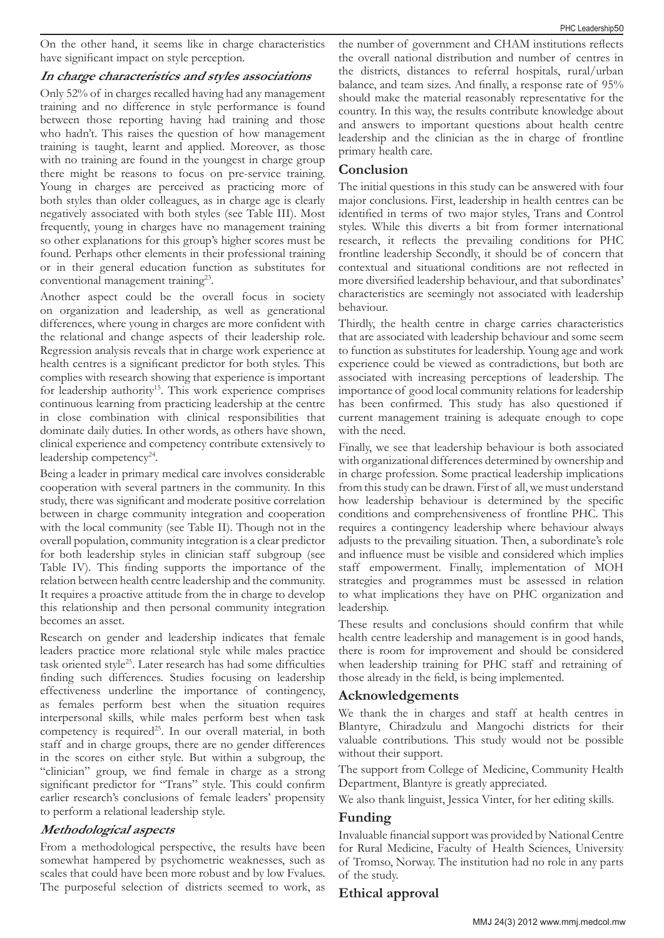On the other hand, it seems like in charge characteristics have significant impact on style perception.

#### **In charge characteristics and styles associations**

Only 52% of in charges recalled having had any management training and no difference in style performance is found between those reporting having had training and those who hadn't. This raises the question of how management training is taught, learnt and applied. Moreover, as those with no training are found in the youngest in charge group there might be reasons to focus on pre-service training. Young in charges are perceived as practicing more of both styles than older colleagues, as in charge age is clearly negatively associated with both styles (see Table III). Most frequently, young in charges have no management training so other explanations for this group's higher scores must be found. Perhaps other elements in their professional training or in their general education function as substitutes for conventional management training<sup>23</sup>.

Another aspect could be the overall focus in society on organization and leadership, as well as generational differences, where young in charges are more confident with the relational and change aspects of their leadership role. Regression analysis reveals that in charge work experience at health centres is a significant predictor for both styles. This complies with research showing that experience is important for leadership authority<sup>15</sup>. This work experience comprises continuous learning from practicing leadership at the centre in close combination with clinical responsibilities that dominate daily duties. In other words, as others have shown, clinical experience and competency contribute extensively to leadership competency<sup>24</sup>.

Being a leader in primary medical care involves considerable cooperation with several partners in the community. In this study, there was significant and moderate positive correlation between in charge community integration and cooperation with the local community (see Table II). Though not in the overall population, community integration is a clear predictor for both leadership styles in clinician staff subgroup (see Table IV). This finding supports the importance of the relation between health centre leadership and the community. It requires a proactive attitude from the in charge to develop this relationship and then personal community integration becomes an asset.

Research on gender and leadership indicates that female leaders practice more relational style while males practice task oriented style25. Later research has had some difficulties finding such differences. Studies focusing on leadership effectiveness underline the importance of contingency, as females perform best when the situation requires interpersonal skills, while males perform best when task competency is required<sup>25</sup>. In our overall material, in both staff and in charge groups, there are no gender differences in the scores on either style. But within a subgroup, the "clinician" group, we find female in charge as a strong significant predictor for "Trans" style. This could confirm earlier research's conclusions of female leaders' propensity to perform a relational leadership style.

# **Methodological aspects**

From a methodological perspective, the results have been somewhat hampered by psychometric weaknesses, such as scales that could have been more robust and by low Fvalues. The purposeful selection of districts seemed to work, as

the number of government and CHAM institutions reflects the overall national distribution and number of centres in the districts, distances to referral hospitals, rural/urban balance, and team sizes. And finally, a response rate of 95% should make the material reasonably representative for the country. In this way, the results contribute knowledge about and answers to important questions about health centre leadership and the clinician as the in charge of frontline primary health care.

# **Conclusion**

The initial questions in this study can be answered with four major conclusions. First, leadership in health centres can be identified in terms of two major styles, Trans and Control styles. While this diverts a bit from former international research, it reflects the prevailing conditions for PHC frontline leadership Secondly, it should be of concern that contextual and situational conditions are not reflected in more diversified leadership behaviour, and that subordinates' characteristics are seemingly not associated with leadership behaviour.

Thirdly, the health centre in charge carries characteristics that are associated with leadership behaviour and some seem to function as substitutes for leadership. Young age and work experience could be viewed as contradictions, but both are associated with increasing perceptions of leadership. The importance of good local community relations for leadership has been confirmed. This study has also questioned if current management training is adequate enough to cope with the need.

Finally, we see that leadership behaviour is both associated with organizational differences determined by ownership and in charge profession. Some practical leadership implications from this study can be drawn. First of all, we must understand how leadership behaviour is determined by the specific conditions and comprehensiveness of frontline PHC. This requires a contingency leadership where behaviour always adjusts to the prevailing situation. Then, a subordinate's role and influence must be visible and considered which implies staff empowerment. Finally, implementation of MOH strategies and programmes must be assessed in relation to what implications they have on PHC organization and leadership.

These results and conclusions should confirm that while health centre leadership and management is in good hands, there is room for improvement and should be considered when leadership training for PHC staff and retraining of those already in the field, is being implemented.

# **Acknowledgements**

We thank the in charges and staff at health centres in Blantyre, Chiradzulu and Mangochi districts for their valuable contributions. This study would not be possible without their support.

The support from College of Medicine, Community Health Department, Blantyre is greatly appreciated.

We also thank linguist, Jessica Vinter, for her editing skills.

# **Funding**

Invaluable financial support was provided by National Centre for Rural Medicine, Faculty of Health Sciences, University of Tromso, Norway. The institution had no role in any parts of the study.

# **Ethical approval**